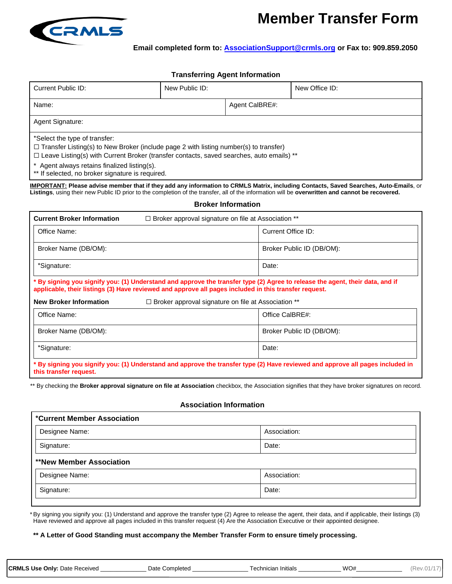

# **Member Transfer Form**

**Email completed form to: AssociationSupport@crmls.org or Fax to: 909.859.2050**

## **Transferring Agent Information**

| Current Public ID:                                                                                                                                                                                                                                                               | New Public ID: |                | New Office ID: |  |  |
|----------------------------------------------------------------------------------------------------------------------------------------------------------------------------------------------------------------------------------------------------------------------------------|----------------|----------------|----------------|--|--|
| Name:                                                                                                                                                                                                                                                                            |                | Agent CalBRE#: |                |  |  |
| Agent Signature:                                                                                                                                                                                                                                                                 |                |                |                |  |  |
| *Select the type of transfer:<br>$\Box$ Transfer Listing(s) to New Broker (include page 2 with listing number(s) to transfer)<br>$\Box$ Leave Listing(s) with Current Broker (transfer contacts, saved searches, auto emails) **<br>* Agent always retains finalized listing(s). |                |                |                |  |  |

\*\* If selected, no broker signature is required.

**IMPORTANT: Please advise member that if they add any information to CRMLS Matrix, including Contacts, Saved Searches, Auto-Emails**, or **Listings**, using their new Public ID prior to the completion of the transfer, all of the information will be **overwritten and cannot be recovered.**

#### **Broker Information**

| <b>Current Broker Information</b><br>$\Box$ Broker approval signature on file at Association **                                                                                                                                        |                           |  |  |  |
|----------------------------------------------------------------------------------------------------------------------------------------------------------------------------------------------------------------------------------------|---------------------------|--|--|--|
| Office Name:                                                                                                                                                                                                                           | Current Office ID:        |  |  |  |
| Broker Name (DB/OM):                                                                                                                                                                                                                   | Broker Public ID (DB/OM): |  |  |  |
| *Signature:                                                                                                                                                                                                                            | Date:                     |  |  |  |
| * By signing you signify you: (1) Understand and approve the transfer type (2) Agree to release the agent, their data, and if<br>applicable, their listings (3) Have reviewed and approve all pages included in this transfer request. |                           |  |  |  |
| <b>New Broker Information</b><br>$\Box$ Broker approval signature on file at Association **                                                                                                                                            |                           |  |  |  |
| Office Name:                                                                                                                                                                                                                           | Office CalBRE#:           |  |  |  |
| Broker Name (DB/OM):                                                                                                                                                                                                                   | Broker Public ID (DB/OM): |  |  |  |
| *Signature:                                                                                                                                                                                                                            | Date:                     |  |  |  |
| * By signing you signify you: (1) Understand and approve the transfer type (2) Have reviewed and approve all pages included in<br>this transfer request.                                                                               |                           |  |  |  |

\*\* By checking the **Broker approval signature on file at Association** checkbox, the Association signifies that they have broker signatures on record.

#### **Association Information**

| *Current Member Association     |              |
|---------------------------------|--------------|
| Designee Name:                  | Association: |
| Signature:                      | Date:        |
| <b>**New Member Association</b> |              |
| Designee Name:                  | Association: |
| Signature:                      | Date:        |

\* By signing you signify you: (1) Understand and approve the transfer type (2) Agree to release the agent, their data, and if applicable, their listings (3) Have reviewed and approve all pages included in this transfer request (4) Are the Association Executive or their appointed designee.

### **\*\* A Letter of Good Standing must accompany the Member Transfer Form to ensure timely processing.**